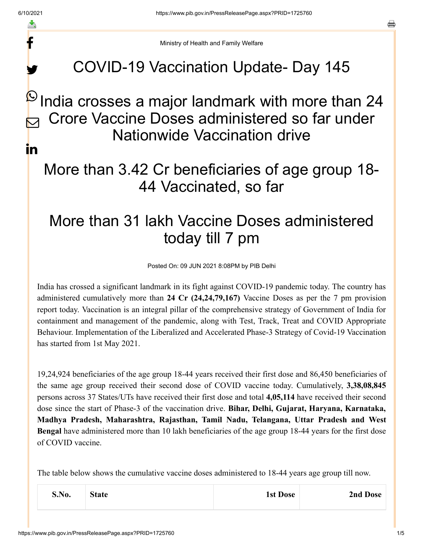f

y.

a

Ministry of Health and Family Welfare

## COVID-19 Vaccination Update- Day 145

## $\stackrel{\text{\tiny{(1)}}}{\sim}$ India crosses a major landmark with more than 24 Crore Vaccine Doses administered so far under Nationwide Vaccination drive  $\bm{\nabla}$ in

## More than 3.42 Cr beneficiaries of age group 18- 44 Vaccinated, so far

## More than 31 lakh Vaccine Doses administered today till 7 pm

Posted On: 09 JUN 2021 8:08PM by PIB Delhi

India has crossed a significant landmark in its fight against COVID-19 pandemic today. The country has administered cumulatively more than **24 Cr (24,24,79,167)** Vaccine Doses as per the 7 pm provision report today. Vaccination is an integral pillar of the comprehensive strategy of Government of India for containment and management of the pandemic, along with Test, Track, Treat and COVID Appropriate Behaviour. Implementation of the Liberalized and Accelerated Phase-3 Strategy of Covid-19 Vaccination has started from 1st May 2021.

19,24,924 beneficiaries of the age group 18-44 years received their first dose and 86,450 beneficiaries of the same age group received their second dose of COVID vaccine today. Cumulatively, **3,38,08,845** persons across 37 States/UTs have received their first dose and total **4,05,114** have received their second dose since the start of Phase-3 of the vaccination drive. **Bihar, Delhi, Gujarat, Haryana, Karnataka, Madhya Pradesh, Maharashtra, Rajasthan, Tamil Nadu, Telangana, Uttar Pradesh and West Bengal** have administered more than 10 lakh beneficiaries of the age group 18-44 years for the first dose of COVID vaccine.

The table below shows the cumulative vaccine doses administered to 18-44 years age group till now.

| S.No. | <b>State</b> | 1st Dose | 2nd Dose |
|-------|--------------|----------|----------|
|       |              |          |          |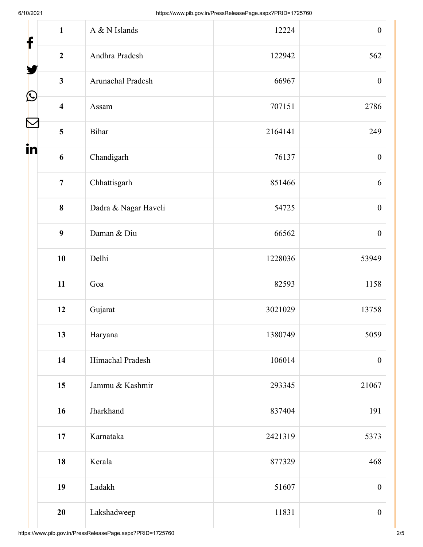| f                 | $\mathbf{1}$            | A & N Islands        | 12224   | $\boldsymbol{0}$ |
|-------------------|-------------------------|----------------------|---------|------------------|
|                   | $\overline{2}$          | Andhra Pradesh       | 122942  | 562              |
|                   | $\mathbf{3}$            | Arunachal Pradesh    | 66967   | $\boldsymbol{0}$ |
| $\mathbf{\Omega}$ | $\overline{\mathbf{4}}$ | Assam                | 707151  | 2786             |
|                   | 5                       | Bihar                | 2164141 | 249              |
| in                | $\boldsymbol{6}$        | Chandigarh           | 76137   | $\boldsymbol{0}$ |
|                   | $\overline{7}$          | Chhattisgarh         | 851466  | 6                |
|                   | 8                       | Dadra & Nagar Haveli | 54725   | $\boldsymbol{0}$ |
|                   | 9                       | Daman & Diu          | 66562   | $\boldsymbol{0}$ |
|                   | 10                      | Delhi                | 1228036 | 53949            |
|                   | 11                      | Goa                  | 82593   | 1158             |
|                   | 12                      | Gujarat              | 3021029 | 13758            |
|                   | 13                      | Haryana              | 1380749 | 5059             |
|                   | 14                      | Himachal Pradesh     | 106014  | $\boldsymbol{0}$ |
|                   | 15                      | Jammu & Kashmir      | 293345  | 21067            |
|                   | 16                      | Jharkhand            | 837404  | 191              |
|                   | 17                      | Karnataka            | 2421319 | 5373             |
|                   | 18                      | Kerala               | 877329  | 468              |
|                   | 19                      | Ladakh               | 51607   | $\boldsymbol{0}$ |
|                   | 20                      | Lakshadweep          | 11831   | $\boldsymbol{0}$ |
|                   |                         |                      |         |                  |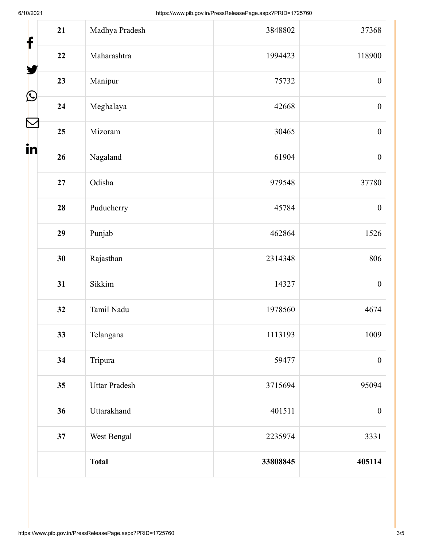| 21<br>f            | Madhya Pradesh       | 3848802  | 37368            |
|--------------------|----------------------|----------|------------------|
| 22                 | Maharashtra          | 1994423  | 118900           |
| 23                 | Manipur              | 75732    | $\boldsymbol{0}$ |
| $\bf \Omega$<br>24 | Meghalaya            | 42668    | $\boldsymbol{0}$ |
| 25                 | Mizoram              | 30465    | $\boldsymbol{0}$ |
| in<br>26           | Nagaland             | 61904    | $\boldsymbol{0}$ |
| $27\,$             | Odisha               | 979548   | 37780            |
| 28                 | Puducherry           | 45784    | $\boldsymbol{0}$ |
| 29                 | Punjab               | 462864   | 1526             |
| 30                 | Rajasthan            | 2314348  | 806              |
| 31                 | Sikkim               | 14327    | $\boldsymbol{0}$ |
| 32                 | Tamil Nadu           | 1978560  | 4674             |
| 33                 | Telangana            | 1113193  | 1009             |
| 34                 | Tripura              | 59477    | $\boldsymbol{0}$ |
| 35                 | <b>Uttar Pradesh</b> | 3715694  | 95094            |
| 36                 | Uttarakhand          | 401511   | $\boldsymbol{0}$ |
| 37                 | West Bengal          | 2235974  | 3331             |
|                    | <b>Total</b>         | 33808845 | 405114           |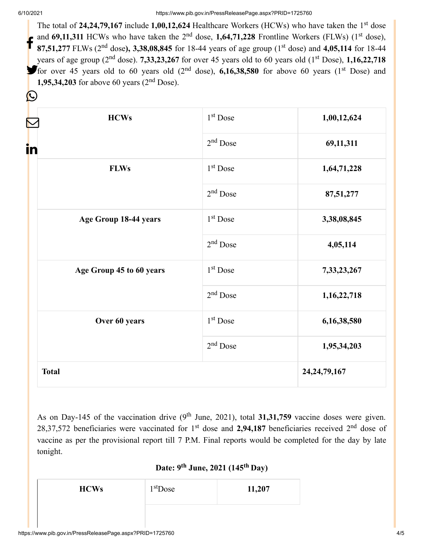$\left(\sum_{i=1}^{n} a_i\right)$ 

The total of 24,24,79,167 include 1,00,12,624 Healthcare Workers (HCWs) who have taken the 1<sup>st</sup> dose and  $69,11,311$  HCWs who have taken the  $2<sup>nd</sup>$  dose,  $1,64,71,228$  Frontline Workers (FLWs) ( $1<sup>st</sup>$  dose), 87,51,277 FLWs (2<sup>nd</sup> dose), 3,38,08,845 for 18-44 years of age group (1<sup>st</sup> dose) and 4,05,114 for 18-44 years of age group ( $2<sup>nd</sup>$  dose). **7,33,23,267** for over 45 years old to 60 years old ( $1<sup>st</sup>$  Dose), **1,16,22,718** for over 45 years old to 60 years old  $(2<sup>nd</sup>$  dose), **6,16,38,580** for above 60 years  $(1<sup>st</sup>$  Dose) and **1,95,34,203** for above 60 years  $(2<sup>nd</sup>$  Dose). f

| <b>HCWs</b>              | 1 <sup>st</sup> Dose | 1,00,12,624     |
|--------------------------|----------------------|-----------------|
| in                       | $2nd$ Dose           | 69,11,311       |
| <b>FLWs</b>              | 1 <sup>st</sup> Dose | 1,64,71,228     |
|                          | $2nd$ Dose           | 87,51,277       |
| Age Group 18-44 years    | 1 <sup>st</sup> Dose | 3,38,08,845     |
|                          | $2nd$ Dose           | 4,05,114        |
| Age Group 45 to 60 years | 1 <sup>st</sup> Dose | 7,33,23,267     |
|                          | $2nd$ Dose           | 1,16,22,718     |
| Over 60 years            | 1 <sup>st</sup> Dose | 6,16,38,580     |
|                          | $2nd$ Dose           | 1,95,34,203     |
| <b>Total</b>             |                      | 24, 24, 79, 167 |

As on Day-145 of the vaccination drive  $(9<sup>th</sup>$  June, 2021), total 31,31,759 vaccine doses were given. 28,37,572 beneficiaries were vaccinated for  $1<sup>st</sup>$  dose and 2,94,187 beneficiaries received  $2<sup>nd</sup>$  dose of vaccine as per the provisional report till 7 P.M. Final reports would be completed for the day by late tonight.

**Date: 9 June, 2021 (145 Day) th th** 

| <b>HCWs</b> | $1st$ Dose | 11,207 |
|-------------|------------|--------|
|             |            |        |